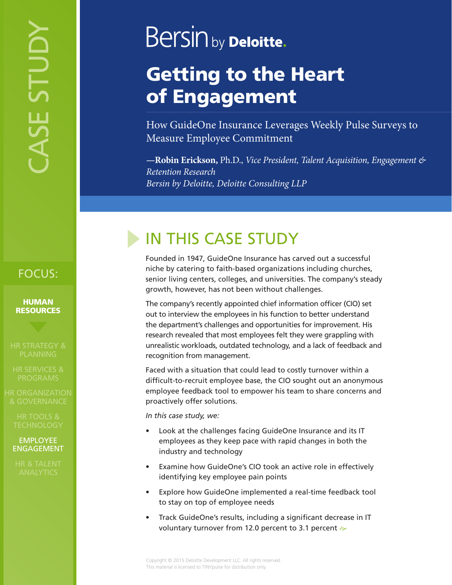# Bersin by **Deloitte.**

# Getting to the Heart of Engagement

How GuideOne Insurance Leverages Weekly Pulse Surveys to Measure Employee Commitment

**—Robin Erickson,** Ph.D., *Vice President, Talent Acquisition, Engagement & Retention Research Bersin by Deloitte, Deloitte Consulting LLP*

## FOCUS:

**HUMAN RESOURCES** 

#### EMPLOYEE ENGAGEMENT

## IN THIS CASE STUDY

Founded in 1947, GuideOne Insurance has carved out a successful niche by catering to faith-based organizations including churches, senior living centers, colleges, and universities. The company's steady growth, however, has not been without challenges.

The company's recently appointed chief information officer (CIO) set out to interview the employees in his function to better understand the department's challenges and opportunities for improvement. His research revealed that most employees felt they were grappling with unrealistic workloads, outdated technology, and a lack of feedback and recognition from management.

Faced with a situation that could lead to costly turnover within a difficult-to-recruit employee base, the CIO sought out an anonymous employee feedback tool to empower his team to share concerns and proactively offer solutions.

*In this case study, we:* 

- Look at the challenges facing GuideOne Insurance and its IT employees as they keep pace with rapid changes in both the industry and technology
- Examine how GuideOne's CIO took an active role in effectively identifying key employee pain points
- Explore how GuideOne implemented a real-time feedback tool to stay on top of employee needs
- Track GuideOne's results, including a significant decrease in IT voluntary turnover from 12.0 percent to 3.1 percent  $\approx$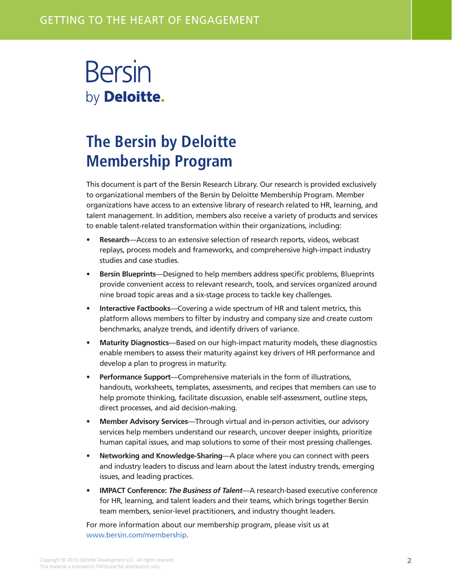# **Bersin** by Deloitte.

## **The Bersin by Deloitte Membership Program**

This document is part of the Bersin Research Library. Our research is provided exclusively to organizational members of the Bersin by Deloitte Membership Program. Member organizations have access to an extensive library of research related to HR, learning, and talent management. In addition, members also receive a variety of products and services to enable talent-related transformation within their organizations, including:

- **• Research**—Access to an extensive selection of research reports, videos, webcast replays, process models and frameworks, and comprehensive high-impact industry studies and case studies.
- **• Bersin Blueprints**—Designed to help members address specific problems, Blueprints provide convenient access to relevant research, tools, and services organized around nine broad topic areas and a six-stage process to tackle key challenges.
- **• Interactive Factbooks**—Covering a wide spectrum of HR and talent metrics, this platform allows members to filter by industry and company size and create custom benchmarks, analyze trends, and identify drivers of variance.
- **• Maturity Diagnostics**—Based on our high-impact maturity models, these diagnostics enable members to assess their maturity against key drivers of HR performance and develop a plan to progress in maturity.
- **• Performance Support**—Comprehensive materials in the form of illustrations, handouts, worksheets, templates, assessments, and recipes that members can use to help promote thinking, facilitate discussion, enable self-assessment, outline steps, direct processes, and aid decision-making.
- **• Member Advisory Services**—Through virtual and in-person activities, our advisory services help members understand our research, uncover deeper insights, prioritize human capital issues, and map solutions to some of their most pressing challenges.
- **• Networking and Knowledge-Sharing**—A place where you can connect with peers and industry leaders to discuss and learn about the latest industry trends, emerging issues, and leading practices.
- **• IMPACT Conference:** *The Business of Talent*—A research-based executive conference for HR, learning, and talent leaders and their teams, which brings together Bersin team members, senior-level practitioners, and industry thought leaders.

For more information about our membership program, please visit us at [www.bersin.com/membership.](http://www.bersin.com/membership)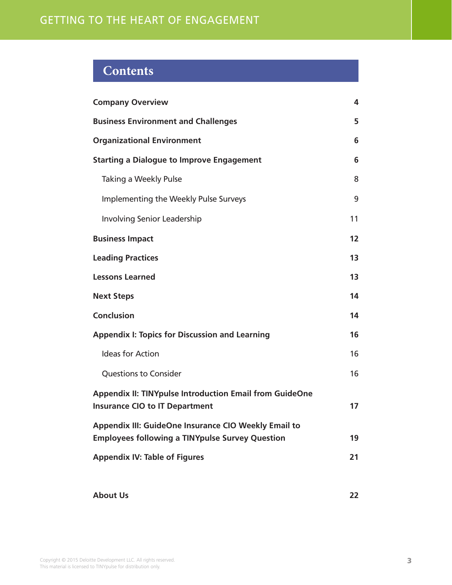## **Contents**

| <b>Company Overview</b>                                                                                               | 4  |  |
|-----------------------------------------------------------------------------------------------------------------------|----|--|
| <b>Business Environment and Challenges</b>                                                                            | 5  |  |
| <b>Organizational Environment</b>                                                                                     |    |  |
| <b>Starting a Dialogue to Improve Engagement</b>                                                                      | 6  |  |
| Taking a Weekly Pulse                                                                                                 | 8  |  |
| Implementing the Weekly Pulse Surveys                                                                                 | 9  |  |
| <b>Involving Senior Leadership</b>                                                                                    | 11 |  |
| <b>Business Impact</b>                                                                                                | 12 |  |
| <b>Leading Practices</b>                                                                                              | 13 |  |
| <b>Lessons Learned</b>                                                                                                | 13 |  |
| <b>Next Steps</b>                                                                                                     | 14 |  |
| Conclusion                                                                                                            | 14 |  |
| <b>Appendix I: Topics for Discussion and Learning</b>                                                                 |    |  |
| <b>Ideas for Action</b>                                                                                               | 16 |  |
| <b>Questions to Consider</b>                                                                                          | 16 |  |
| <b>Appendix II: TINYpulse Introduction Email from GuideOne</b><br><b>Insurance CIO to IT Department</b>               | 17 |  |
| <b>Appendix III: GuideOne Insurance CIO Weekly Email to</b><br><b>Employees following a TINYpulse Survey Question</b> | 19 |  |
| <b>Appendix IV: Table of Figures</b>                                                                                  | 21 |  |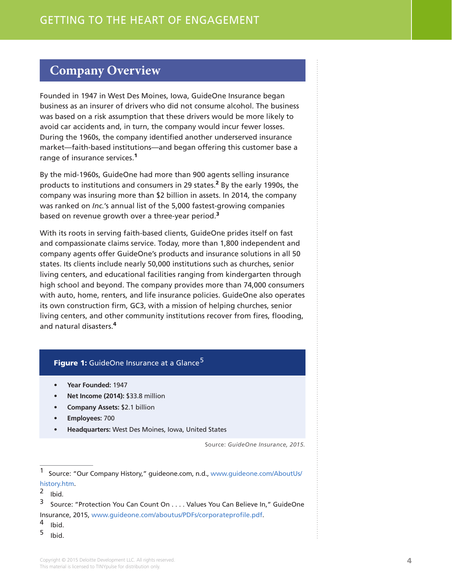## <span id="page-3-0"></span>**Company Overview**

Founded in 1947 in West Des Moines, Iowa, GuideOne Insurance began business as an insurer of drivers who did not consume alcohol. The business was based on a risk assumption that these drivers would be more likely to avoid car accidents and, in turn, the company would incur fewer losses. During the 1960s, the company identified another underserved insurance market—faith-based institutions—and began offering this customer base a range of insurance services.<sup>1</sup>

By the mid-1960s, GuideOne had more than 900 agents selling insurance products to institutions and consumers in 29 states.<sup>2</sup> By the early 1990s, the company was insuring more than \$2 billion in assets. In 2014, the company was ranked on *Inc.*'s annual list of the 5,000 fastest-growing companies based on revenue growth over a three-year period.<sup>3</sup>

With its roots in serving faith-based clients, GuideOne prides itself on fast and compassionate claims service. Today, more than 1,800 independent and company agents offer GuideOne's products and insurance solutions in all 50 states. Its clients include nearly 50,000 institutions such as churches, senior living centers, and educational facilities ranging from kindergarten through high school and beyond. The company provides more than 74,000 consumers with auto, home, renters, and life insurance policies. GuideOne also operates its own construction firm, GC3, with a mission of helping churches, senior living centers, and other community institutions recover from fires, flooding, and natural disasters.<sup>4</sup>

#### Figure 1: GuideOne Insurance at a Glance<sup>5</sup>

- **• Year Founded:** 1947
- **• Net Income (2014):** \$33.8 million
- **• Company Assets:** \$2.1 billion
- **• Employees:** 700
- **• Headquarters:** West Des Moines, Iowa, United States

Source: *GuideOne Insurance, 2015.*

<sup>2</sup> Ibid.

 $4$  Ibid.

<sup>1</sup> Source: "Our Company History," guideone.com, n.d., [www.guideone.com/AboutUs/](http://www.guideone.com/AboutUs/history.htm) [history.htm](http://www.guideone.com/AboutUs/history.htm).

<sup>3</sup> Source: "Protection You Can Count On . . . . Values You Can Believe In," GuideOne Insurance, 2015, [www.guideone.com/aboutus/PDFs/corporateprofile.pdf.](http://www.guideone.com/aboutus/PDFs/corporateprofile.pdf)

 $5$  Ibid.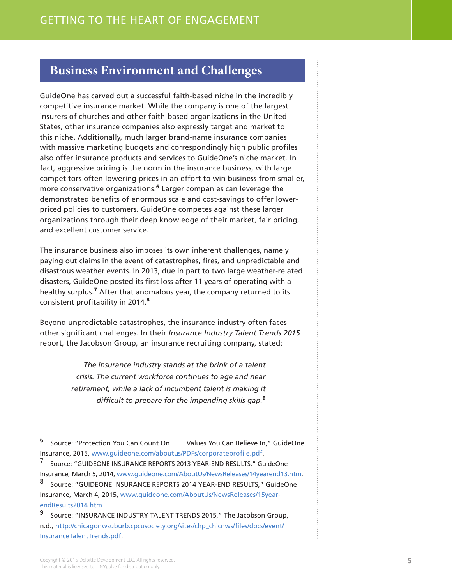## <span id="page-4-0"></span>**Business Environment and Challenges**

GuideOne has carved out a successful faith-based niche in the incredibly competitive insurance market. While the company is one of the largest insurers of churches and other faith-based organizations in the United States, other insurance companies also expressly target and market to this niche. Additionally, much larger brand-name insurance companies with massive marketing budgets and correspondingly high public profiles also offer insurance products and services to GuideOne's niche market. In fact, aggressive pricing is the norm in the insurance business, with large competitors often lowering prices in an effort to win business from smaller, more conservative organizations.<sup>6</sup> Larger companies can leverage the demonstrated benefits of enormous scale and cost-savings to offer lowerpriced policies to customers. GuideOne competes against these larger organizations through their deep knowledge of their market, fair pricing, and excellent customer service.

The insurance business also imposes its own inherent challenges, namely paying out claims in the event of catastrophes, fires, and unpredictable and disastrous weather events. In 2013, due in part to two large weather-related disasters, GuideOne posted its first loss after 11 years of operating with a healthy surplus.<sup>7</sup> After that anomalous year, the company returned to its consistent profitability in 2014.<sup>8</sup>

Beyond unpredictable catastrophes, the insurance industry often faces other significant challenges. In their *Insurance Industry Talent Trends 2015* report, the Jacobson Group, an insurance recruiting company, stated:

> *The insurance industry stands at the brink of a talent crisis. The current workforce continues to age and near retirement, while a lack of incumbent talent is making it difficult to prepare for the impending skills gap.*<sup>9</sup>

<sup>7</sup> Source: "GUIDEONE INSURANCE REPORTS 2013 YEAR-END RESULTS," GuideOne Insurance, March 5, 2014, [www.guideone.com/AboutUs/NewsReleases/14yearend13.htm](https://www.guideone.com/AboutUs/NewsReleases/14yearend13.htm). <sup>8</sup> Source: "GUIDEONE INSURANCE REPORTS 2014 YEAR-END RESULTS," GuideOne Insurance, March 4, 2015, [www.guideone.com/AboutUs/NewsReleases/15year](http://www.guideone.com/AboutUs/NewsReleases/15year-endResults2014.htm)[endResults2014.htm.](http://www.guideone.com/AboutUs/NewsReleases/15year-endResults2014.htm)

<sup>6</sup> Source: "Protection You Can Count On . . . . Values You Can Believe In," GuideOne Insurance, 2015, [www.guideone.com/aboutus/PDFs/corporateprofile.pdf.](http://www.guideone.com/aboutus/PDFs/corporateprofile.pdf)

Source: "INSURANCE INDUSTRY TALENT TRENDS 2015," The Jacobson Group, n.d., [http://chicagonwsuburb.cpcusociety.org/sites/chp\\_chicnws/files/docs/event/](http://chicagonwsuburb.cpcusociety.org/sites/chp_chicnws/files/docs/event/InsuranceTalentTrends.pdf) [InsuranceTalentTrends.pdf](http://chicagonwsuburb.cpcusociety.org/sites/chp_chicnws/files/docs/event/InsuranceTalentTrends.pdf).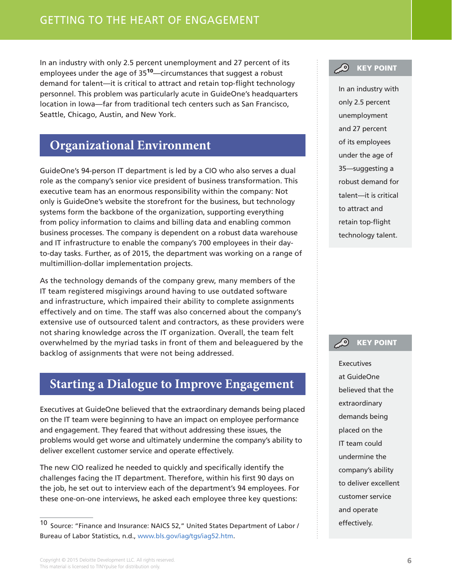<span id="page-5-0"></span>In an industry with only 2.5 percent unemployment and 27 percent of its employees under the age of 35<sup>10</sup>—circumstances that suggest a robust demand for talent—it is critical to attract and retain top-flight technology personnel. This problem was particularly acute in GuideOne's headquarters location in Iowa—far from traditional tech centers such as San Francisco, Seattle, Chicago, Austin, and New York.

## **Organizational Environment**

GuideOne's 94-person IT department is led by a CIO who also serves a dual role as the company's senior vice president of business transformation. This executive team has an enormous responsibility within the company: Not only is GuideOne's website the storefront for the business, but technology systems form the backbone of the organization, supporting everything from policy information to claims and billing data and enabling common business processes. The company is dependent on a robust data warehouse and IT infrastructure to enable the company's 700 employees in their dayto-day tasks. Further, as of 2015, the department was working on a range of multimillion-dollar implementation projects.

As the technology demands of the company grew, many members of the IT team registered misgivings around having to use outdated software and infrastructure, which impaired their ability to complete assignments effectively and on time. The staff was also concerned about the company's extensive use of outsourced talent and contractors, as these providers were not sharing knowledge across the IT organization. Overall, the team felt overwhelmed by the myriad tasks in front of them and beleaguered by the backlog of assignments that were not being addressed.

## **Starting a Dialogue to Improve Engagement**

Executives at GuideOne believed that the extraordinary demands being placed on the IT team were beginning to have an impact on employee performance and engagement. They feared that without addressing these issues, the problems would get worse and ultimately undermine the company's ability to deliver excellent customer service and operate effectively.

The new CIO realized he needed to quickly and specifically identify the challenges facing the IT department. Therefore, within his first 90 days on the job, he set out to interview each of the department's 94 employees. For these one-on-one interviews, he asked each employee three key questions:



In an industry with only 2.5 percent unemployment and 27 percent of its employees under the age of 35—suggesting a robust demand for talent—it is critical to attract and retain top-flight technology talent.

#### **20 KEY POINT**

Executives at GuideOne believed that the extraordinary demands being placed on the IT team could undermine the company's ability to deliver excellent customer service and operate effectively.

<sup>10</sup> Source: "Finance and Insurance: NAICS 52," United States Department of Labor / Bureau of Labor Statistics, n.d., [www.bls.gov/iag/tgs/iag52.htm](http://www.bls.gov/iag/tgs/iag52.htm).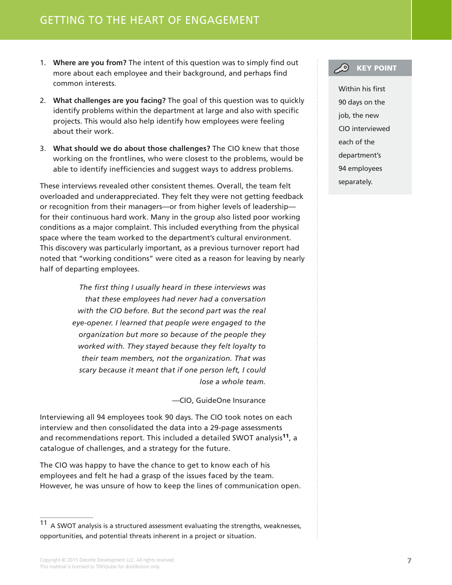- 1. **Where are you from?** The intent of this question was to simply find out more about each employee and their background, and perhaps find common interests.
- 2. **What challenges are you facing?** The goal of this question was to quickly identify problems within the department at large and also with specific projects. This would also help identify how employees were feeling about their work.
- 3. **What should we do about those challenges?** The CIO knew that those working on the frontlines, who were closest to the problems, would be able to identify inefficiencies and suggest ways to address problems.

These interviews revealed other consistent themes. Overall, the team felt overloaded and underappreciated. They felt they were not getting feedback or recognition from their managers—or from higher levels of leadership for their continuous hard work. Many in the group also listed poor working conditions as a major complaint. This included everything from the physical space where the team worked to the department's cultural environment. This discovery was particularly important, as a previous turnover report had noted that "working conditions" were cited as a reason for leaving by nearly half of departing employees.

> *The first thing I usually heard in these interviews was that these employees had never had a conversation with the CIO before. But the second part was the real eye-opener. I learned that people were engaged to the organization but more so because of the people they worked with. They stayed because they felt loyalty to their team members, not the organization. That was scary because it meant that if one person left, I could lose a whole team.*

> > —CIO, GuideOne Insurance

Interviewing all 94 employees took 90 days. The CIO took notes on each interview and then consolidated the data into a 29-page assessments and recommendations report. This included a detailed SWOT analysis<sup>11</sup>, a catalogue of challenges, and a strategy for the future.

The CIO was happy to have the chance to get to know each of his employees and felt he had a grasp of the issues faced by the team. However, he was unsure of how to keep the lines of communication open.



Within his first 90 days on the job, the new CIO interviewed each of the department's 94 employees separately.

 $11$  A SWOT analysis is a structured assessment evaluating the strengths, weaknesses, opportunities, and potential threats inherent in a project or situation.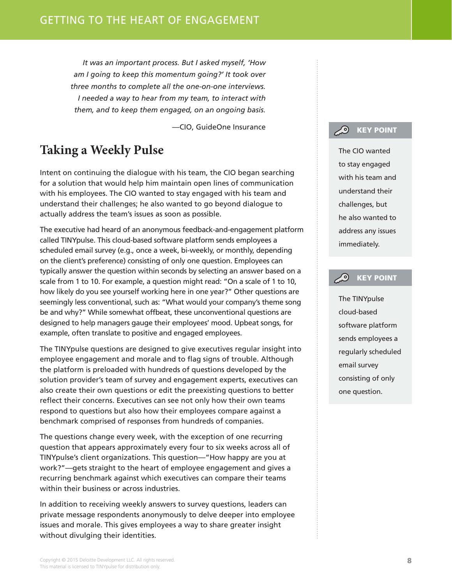<span id="page-7-0"></span>*It was an important process. But I asked myself, 'How am I going to keep this momentum going?' It took over three months to complete all the one-on-one interviews. I needed a way to hear from my team, to interact with them, and to keep them engaged, on an ongoing basis.*

—CIO, GuideOne Insurance

## **Taking a Weekly Pulse**

Intent on continuing the dialogue with his team, the CIO began searching for a solution that would help him maintain open lines of communication with his employees. The CIO wanted to stay engaged with his team and understand their challenges; he also wanted to go beyond dialogue to actually address the team's issues as soon as possible.

The executive had heard of an anonymous feedback-and-engagement platform called TINYpulse. This cloud-based software platform sends employees a scheduled email survey (e.g., once a week, bi-weekly, or monthly, depending on the client's preference) consisting of only one question. Employees can typically answer the question within seconds by selecting an answer based on a scale from 1 to 10. For example, a question might read: "On a scale of 1 to 10, how likely do you see yourself working here in one year?" Other questions are seemingly less conventional, such as: "What would your company's theme song be and why?" While somewhat offbeat, these unconventional questions are designed to help managers gauge their employees' mood. Upbeat songs, for example, often translate to positive and engaged employees.

The TINYpulse questions are designed to give executives regular insight into employee engagement and morale and to flag signs of trouble. Although the platform is preloaded with hundreds of questions developed by the solution provider's team of survey and engagement experts, executives can also create their own questions or edit the preexisting questions to better reflect their concerns. Executives can see not only how their own teams respond to questions but also how their employees compare against a benchmark comprised of responses from hundreds of companies.

The questions change every week, with the exception of one recurring question that appears approximately every four to six weeks across all of TINYpulse's client organizations. This question—"How happy are you at work?"—gets straight to the heart of employee engagement and gives a recurring benchmark against which executives can compare their teams within their business or across industries.

In addition to receiving weekly answers to survey questions, leaders can private message respondents anonymously to delve deeper into employee issues and morale. This gives employees a way to share greater insight without divulging their identities.

#### **CO** KEY POINT

The CIO wanted to stay engaged with his team and understand their challenges, but he also wanted to address any issues immediately.

#### **CO** KEY POINT

The TINYpulse cloud-based software platform sends employees a regularly scheduled email survey consisting of only one question.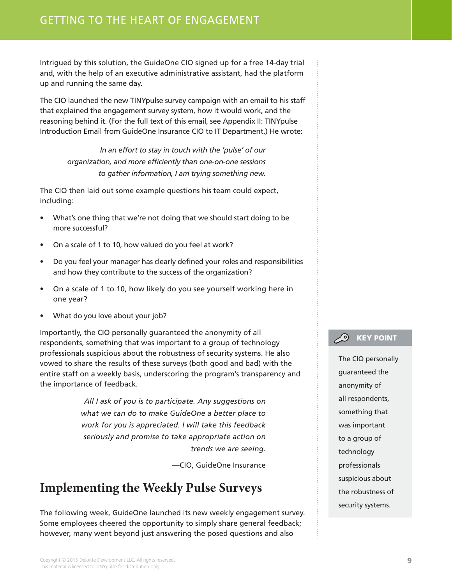<span id="page-8-0"></span>Intrigued by this solution, the GuideOne CIO signed up for a free 14-day trial and, with the help of an executive administrative assistant, had the platform up and running the same day.

The CIO launched the new TINYpulse survey campaign with an email to his staff that explained the engagement survey system, how it would work, and the reasoning behind it. (For the full text of this email, see Appendix II: TINYpulse Introduction Email from GuideOne Insurance CIO to IT Department.) He wrote:

> *In an effort to stay in touch with the 'pulse' of our organization, and more efficiently than one-on-one sessions to gather information, I am trying something new.*

The CIO then laid out some example questions his team could expect, including:

- What's one thing that we're not doing that we should start doing to be more successful?
- On a scale of 1 to 10, how valued do you feel at work?
- Do you feel your manager has clearly defined your roles and responsibilities and how they contribute to the success of the organization?
- On a scale of 1 to 10, how likely do you see yourself working here in one year?
- What do you love about your job?

Importantly, the CIO personally guaranteed the anonymity of all respondents, something that was important to a group of technology professionals suspicious about the robustness of security systems. He also vowed to share the results of these surveys (both good and bad) with the entire staff on a weekly basis, underscoring the program's transparency and the importance of feedback.

> *All I ask of you is to participate. Any suggestions on what we can do to make GuideOne a better place to work for you is appreciated. I will take this feedback seriously and promise to take appropriate action on trends we are seeing.*

> > —CIO, GuideOne Insurance

## **Implementing the Weekly Pulse Surveys**

The following week, GuideOne launched its new weekly engagement survey. Some employees cheered the opportunity to simply share general feedback; however, many went beyond just answering the posed questions and also

#### **CO** KEY POINT

The CIO personally guaranteed the anonymity of all respondents, something that was important to a group of technology professionals suspicious about the robustness of security systems.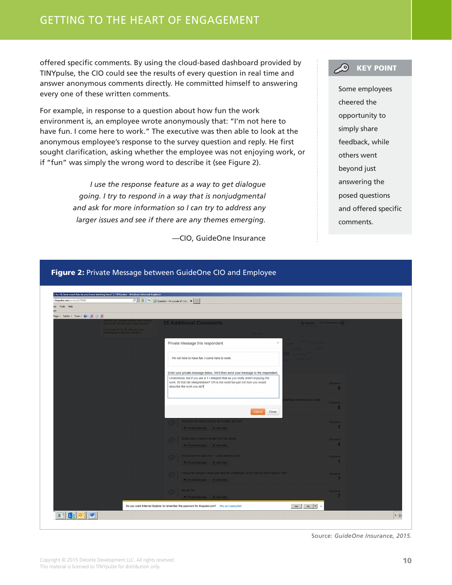#### <span id="page-9-0"></span>GETTING TO THE HEART OF ENGAGEMENT

offered specific comments. By using the cloud-based dashboard provided by TINYpulse, the CIO could see the results of every question in real time and answer anonymous comments directly. He committed himself to answering every one of these written comments.

For example, in response to a question about how fun the work environment is, an employee wrote anonymously that: "I'm not here to have fun. I come here to work." The executive was then able to look at the anonymous employee's response to the survey question and reply. He first sought clarification, asking whether the employee was not enjoying work, or if "fun" was simply the wrong word to describe it (see Figure 2).

> *I use the response feature as a way to get dialogue going. I try to respond in a way that is nonjudgmental and ask for more information so I can try to address any larger issues and see if there are any themes emerging.*

> > —CIO, GuideOne Insurance



Some employees cheered the opportunity to simply share feedback, while others went beyond just answering the posed questions and offered specific comments.

|                                   | 1 to 10, how much fun do you have working here?   TINYpulse - Windows Internet Explorer |                                                                                                                                                                                                                                                                                                                                                                                                                                        |                                                  |  |
|-----------------------------------|-----------------------------------------------------------------------------------------|----------------------------------------------------------------------------------------------------------------------------------------------------------------------------------------------------------------------------------------------------------------------------------------------------------------------------------------------------------------------------------------------------------------------------------------|--------------------------------------------------|--|
| ».tinypulse.com/surveys/175995    |                                                                                         | $\begin{array}{ c c c c c }\hline \textbf{A} & \textbf{A} & \textbf{A} & \textbf{A} \\ \hline \textbf{A} & \textbf{A} & \textbf{A} & \textbf{A} \\ \hline \textbf{A} & \textbf{A} & \textbf{A} & \textbf{A} \\ \hline \textbf{A} & \textbf{A} & \textbf{A} & \textbf{A} \\ \hline \textbf{A} & \textbf{A} & \textbf{A} & \textbf{A} \\ \hline \textbf{A} & \textbf{A} & \textbf{A} & \textbf{A} \\ \hline \textbf{A} & \textbf{A} & \$ |                                                  |  |
| tes Tools Help<br><b>bct</b>      |                                                                                         |                                                                                                                                                                                                                                                                                                                                                                                                                                        |                                                  |  |
| Page - Safety - Tools - ( - N G N |                                                                                         |                                                                                                                                                                                                                                                                                                                                                                                                                                        |                                                  |  |
|                                   | here so far and how did it make you feel?                                               | <b>25 Additional Comments</b>                                                                                                                                                                                                                                                                                                                                                                                                          | Q Search Sort Responses                          |  |
|                                   | On a scale of 1 to 10, rate your own<br>performance in the last 6 months?               |                                                                                                                                                                                                                                                                                                                                                                                                                                        |                                                  |  |
|                                   |                                                                                         |                                                                                                                                                                                                                                                                                                                                                                                                                                        |                                                  |  |
|                                   |                                                                                         | $\times$<br>Private Message this respondent                                                                                                                                                                                                                                                                                                                                                                                            | accen engagemen                                  |  |
|                                   |                                                                                         |                                                                                                                                                                                                                                                                                                                                                                                                                                        |                                                  |  |
|                                   |                                                                                         | I'm not here to have fun. I come here to work.                                                                                                                                                                                                                                                                                                                                                                                         |                                                  |  |
|                                   |                                                                                         |                                                                                                                                                                                                                                                                                                                                                                                                                                        |                                                  |  |
|                                   |                                                                                         | Enter your private message below. We'll then send your message to the respondent.<br>Understood, but if you are a 1 I interpret that as you really aren't enjoying the                                                                                                                                                                                                                                                                 |                                                  |  |
|                                   |                                                                                         | work. IS that fair interpretation? OR is the word fun just not how you would<br>describe the work you do?                                                                                                                                                                                                                                                                                                                              | Response)<br>$\overline{9}$                      |  |
|                                   |                                                                                         |                                                                                                                                                                                                                                                                                                                                                                                                                                        |                                                  |  |
|                                   |                                                                                         |                                                                                                                                                                                                                                                                                                                                                                                                                                        | tentially monotonous tasks.<br>Response          |  |
|                                   |                                                                                         | Submit<br>Close                                                                                                                                                                                                                                                                                                                                                                                                                        | -8                                               |  |
|                                   |                                                                                         |                                                                                                                                                                                                                                                                                                                                                                                                                                        |                                                  |  |
|                                   |                                                                                         | We have too much work to do to have any fun.                                                                                                                                                                                                                                                                                                                                                                                           | Response                                         |  |
|                                   |                                                                                         | ← Private Message + Add Note                                                                                                                                                                                                                                                                                                                                                                                                           |                                                  |  |
|                                   |                                                                                         | Some days I need a break from the stress.                                                                                                                                                                                                                                                                                                                                                                                              | Response                                         |  |
|                                   |                                                                                         | • Private Message + Add Note                                                                                                                                                                                                                                                                                                                                                                                                           | $\overline{4}$                                   |  |
|                                   |                                                                                         | I'm not here to have fun. I come here to work.                                                                                                                                                                                                                                                                                                                                                                                         | Response                                         |  |
|                                   |                                                                                         | • Private Message + Add Note                                                                                                                                                                                                                                                                                                                                                                                                           |                                                  |  |
|                                   |                                                                                         | I enjoy the people I work with and the challenges of my role so that makes it "fun"                                                                                                                                                                                                                                                                                                                                                    | Response                                         |  |
|                                   |                                                                                         | ← Private Message + Add Note                                                                                                                                                                                                                                                                                                                                                                                                           | 7                                                |  |
|                                   |                                                                                         |                                                                                                                                                                                                                                                                                                                                                                                                                                        |                                                  |  |
|                                   |                                                                                         | Mostly fun.<br>Private Message + Add Note                                                                                                                                                                                                                                                                                                                                                                                              | Response                                         |  |
|                                   |                                                                                         |                                                                                                                                                                                                                                                                                                                                                                                                                                        |                                                  |  |
|                                   |                                                                                         | Do you want Internet Explorer to remember the password for tinypulse.com? Why am I seeing this?                                                                                                                                                                                                                                                                                                                                        | Yes $\vert$ No $\vert \bullet \vert$<br>$\times$ |  |

Source: *GuideOne Insurance, 2015.*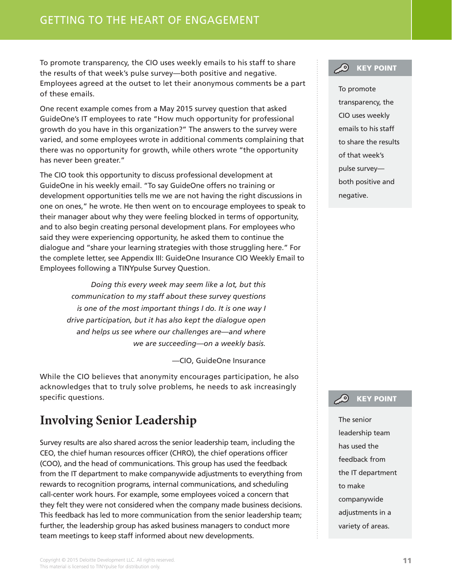<span id="page-10-0"></span>To promote transparency, the CIO uses weekly emails to his staff to share the results of that week's pulse survey—both positive and negative. Employees agreed at the outset to let their anonymous comments be a part of these emails.

One recent example comes from a May 2015 survey question that asked GuideOne's IT employees to rate "How much opportunity for professional growth do you have in this organization?" The answers to the survey were varied, and some employees wrote in additional comments complaining that there was no opportunity for growth, while others wrote "the opportunity has never been greater."

The CIO took this opportunity to discuss professional development at GuideOne in his weekly email. "To say GuideOne offers no training or development opportunities tells me we are not having the right discussions in one on ones," he wrote. He then went on to encourage employees to speak to their manager about why they were feeling blocked in terms of opportunity, and to also begin creating personal development plans. For employees who said they were experiencing opportunity, he asked them to continue the dialogue and "share your learning strategies with those struggling here." For the complete letter, see Appendix III: GuideOne Insurance CIO Weekly Email to Employees following a TINYpulse Survey Question.

> *Doing this every week may seem like a lot, but this communication to my staff about these survey questions is one of the most important things I do. It is one way I drive participation, but it has also kept the dialogue open and helps us see where our challenges are—and where we are succeeding—on a weekly basis.*

> > —CIO, GuideOne Insurance

While the CIO believes that anonymity encourages participation, he also acknowledges that to truly solve problems, he needs to ask increasingly specific questions.

## **Involving Senior Leadership**

Survey results are also shared across the senior leadership team, including the CEO, the chief human resources officer (CHRO), the chief operations officer (COO), and the head of communications. This group has used the feedback from the IT department to make companywide adjustments to everything from rewards to recognition programs, internal communications, and scheduling call-center work hours. For example, some employees voiced a concern that they felt they were not considered when the company made business decisions. This feedback has led to more communication from the senior leadership team; further, the leadership group has asked business managers to conduct more team meetings to keep staff informed about new developments.



To promote transparency, the CIO uses weekly emails to his staff to share the results of that week's pulse survey both positive and negative.

#### **CO** KEY POINT

The senior leadership team has used the feedback from the IT department to make companywide adjustments in a variety of areas.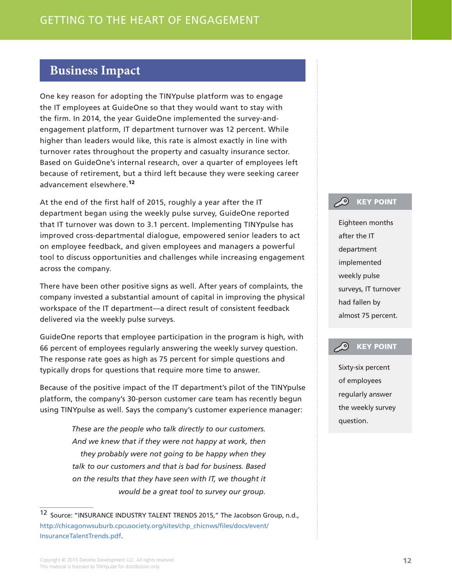## <span id="page-11-0"></span>**Business Impact**

One key reason for adopting the TINYpulse platform was to engage the IT employees at GuideOne so that they would want to stay with the firm. In 2014, the year GuideOne implemented the survey-andengagement platform, IT department turnover was 12 percent. While higher than leaders would like, this rate is almost exactly in line with turnover rates throughout the property and casualty insurance sector. Based on GuideOne's internal research, over a quarter of employees left because of retirement, but a third left because they were seeking career advancement elsewhere.<sup>12</sup>

At the end of the first half of 2015, roughly a year after the IT department began using the weekly pulse survey, GuideOne reported that IT turnover was down to 3.1 percent. Implementing TINYpulse has improved cross-departmental dialogue, empowered senior leaders to act on employee feedback, and given employees and managers a powerful tool to discuss opportunities and challenges while increasing engagement across the company.

There have been other positive signs as well. After years of complaints, the company invested a substantial amount of capital in improving the physical workspace of the IT department—a direct result of consistent feedback delivered via the weekly pulse surveys.

GuideOne reports that employee participation in the program is high, with 66 percent of employees regularly answering the weekly survey question. The response rate goes as high as 75 percent for simple questions and typically drops for questions that require more time to answer.

Because of the positive impact of the IT department's pilot of the TINYpulse platform, the company's 30-person customer care team has recently begun using TINYpulse as well. Says the company's customer experience manager:

> *These are the people who talk directly to our customers. And we knew that if they were not happy at work, then they probably were not going to be happy when they talk to our customers and that is bad for business. Based on the results that they have seen with IT, we thought it would be a great tool to survey our group.*

#### **CO** KEY POINT

Eighteen months after the IT department implemented weekly pulse surveys, IT turnover had fallen by almost 75 percent.

#### **CO** KEY POINT

Sixty-six percent of employees regularly answer the weekly survey question.

<sup>12</sup> Source: "INSURANCE INDUSTRY TALENT TRENDS 2015," The Jacobson Group, n.d., [http://chicagonwsuburb.cpcusociety.org/sites/chp\\_chicnws/files/docs/event/](http://chicagonwsuburb.cpcusociety.org/sites/chp_chicnws/files/docs/event/InsuranceTalentTrends.pdf) [InsuranceTalentTrends.pdf](http://chicagonwsuburb.cpcusociety.org/sites/chp_chicnws/files/docs/event/InsuranceTalentTrends.pdf).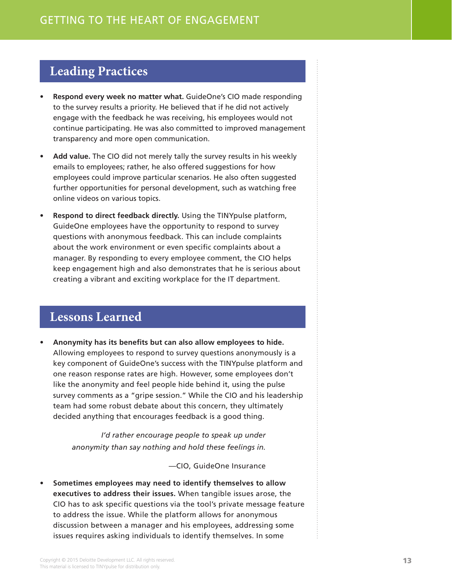## <span id="page-12-0"></span>**Leading Practices**

- **Respond every week no matter what.** GuideOne's CIO made responding to the survey results a priority. He believed that if he did not actively engage with the feedback he was receiving, his employees would not continue participating. He was also committed to improved management transparency and more open communication.
- **Add value.** The CIO did not merely tally the survey results in his weekly emails to employees; rather, he also offered suggestions for how employees could improve particular scenarios. He also often suggested further opportunities for personal development, such as watching free online videos on various topics.
- **Respond to direct feedback directly.** Using the TINYpulse platform, GuideOne employees have the opportunity to respond to survey questions with anonymous feedback. This can include complaints about the work environment or even specific complaints about a manager. By responding to every employee comment, the CIO helps keep engagement high and also demonstrates that he is serious about creating a vibrant and exciting workplace for the IT department.

### **Lessons Learned**

• **Anonymity has its benefits but can also allow employees to hide.** Allowing employees to respond to survey questions anonymously is a key component of GuideOne's success with the TINYpulse platform and one reason response rates are high. However, some employees don't like the anonymity and feel people hide behind it, using the pulse survey comments as a "gripe session." While the CIO and his leadership team had some robust debate about this concern, they ultimately decided anything that encourages feedback is a good thing.

> *I'd rather encourage people to speak up under anonymity than say nothing and hold these feelings in.*

> > —CIO, GuideOne Insurance

• **Sometimes employees may need to identify themselves to allow executives to address their issues.** When tangible issues arose, the CIO has to ask specific questions via the tool's private message feature to address the issue. While the platform allows for anonymous discussion between a manager and his employees, addressing some issues requires asking individuals to identify themselves. In some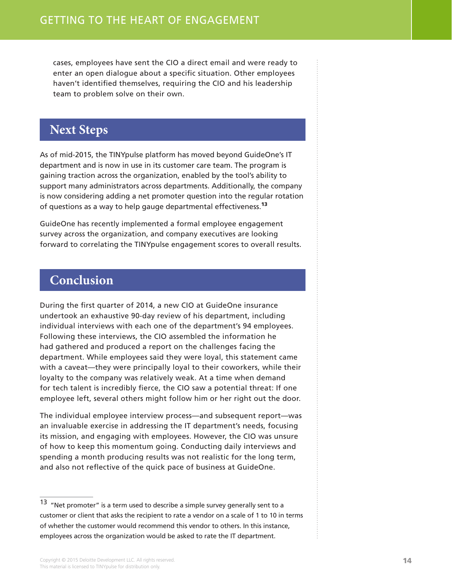<span id="page-13-0"></span>cases, employees have sent the CIO a direct email and were ready to enter an open dialogue about a specific situation. Other employees haven't identified themselves, requiring the CIO and his leadership team to problem solve on their own.

### **Next Steps**

As of mid-2015, the TINYpulse platform has moved beyond GuideOne's IT department and is now in use in its customer care team. The program is gaining traction across the organization, enabled by the tool's ability to support many administrators across departments. Additionally, the company is now considering adding a net promoter question into the regular rotation of questions as a way to help gauge departmental effectiveness.<sup>13</sup>

GuideOne has recently implemented a formal employee engagement survey across the organization, and company executives are looking forward to correlating the TINYpulse engagement scores to overall results.

## **Conclusion**

During the first quarter of 2014, a new CIO at GuideOne insurance undertook an exhaustive 90-day review of his department, including individual interviews with each one of the department's 94 employees. Following these interviews, the CIO assembled the information he had gathered and produced a report on the challenges facing the department. While employees said they were loyal, this statement came with a caveat—they were principally loyal to their coworkers, while their loyalty to the company was relatively weak. At a time when demand for tech talent is incredibly fierce, the CIO saw a potential threat: If one employee left, several others might follow him or her right out the door.

The individual employee interview process—and subsequent report—was an invaluable exercise in addressing the IT department's needs, focusing its mission, and engaging with employees. However, the CIO was unsure of how to keep this momentum going. Conducting daily interviews and spending a month producing results was not realistic for the long term, and also not reflective of the quick pace of business at GuideOne.

 $13$  "Net promoter" is a term used to describe a simple survey generally sent to a customer or client that asks the recipient to rate a vendor on a scale of 1 to 10 in terms of whether the customer would recommend this vendor to others. In this instance, employees across the organization would be asked to rate the IT department.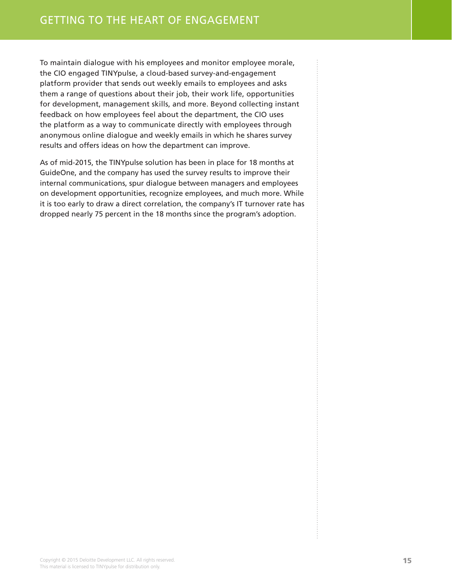To maintain dialogue with his employees and monitor employee morale, the CIO engaged TINYpulse, a cloud-based survey-and-engagement platform provider that sends out weekly emails to employees and asks them a range of questions about their job, their work life, opportunities for development, management skills, and more. Beyond collecting instant feedback on how employees feel about the department, the CIO uses the platform as a way to communicate directly with employees through anonymous online dialogue and weekly emails in which he shares survey results and offers ideas on how the department can improve.

As of mid-2015, the TINYpulse solution has been in place for 18 months at GuideOne, and the company has used the survey results to improve their internal communications, spur dialogue between managers and employees on development opportunities, recognize employees, and much more. While it is too early to draw a direct correlation, the company's IT turnover rate has dropped nearly 75 percent in the 18 months since the program's adoption.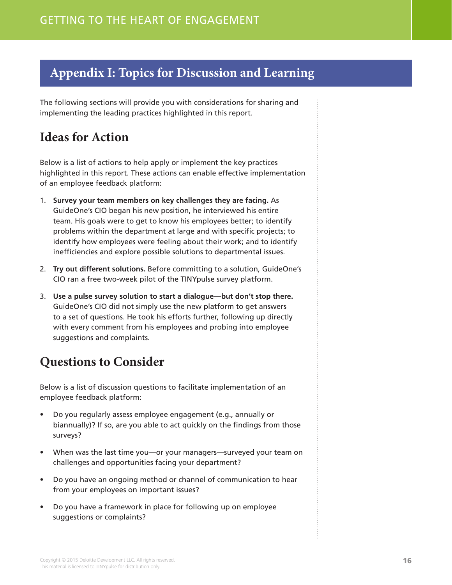## <span id="page-15-0"></span>**Appendix I: Topics for Discussion and Learning**

The following sections will provide you with considerations for sharing and implementing the leading practices highlighted in this report.

## **Ideas for Action**

Below is a list of actions to help apply or implement the key practices highlighted in this report. These actions can enable effective implementation of an employee feedback platform:

- 1. **Survey your team members on key challenges they are facing.** As GuideOne's CIO began his new position, he interviewed his entire team. His goals were to get to know his employees better; to identify problems within the department at large and with specific projects; to identify how employees were feeling about their work; and to identify inefficiencies and explore possible solutions to departmental issues.
- 2. **Try out different solutions.** Before committing to a solution, GuideOne's CIO ran a free two-week pilot of the TINYpulse survey platform.
- 3. **Use a pulse survey solution to start a dialogue—but don't stop there.** GuideOne's CIO did not simply use the new platform to get answers to a set of questions. He took his efforts further, following up directly with every comment from his employees and probing into employee suggestions and complaints.

## **Questions to Consider**

Below is a list of discussion questions to facilitate implementation of an employee feedback platform:

- Do you regularly assess employee engagement (e.g., annually or biannually)? If so, are you able to act quickly on the findings from those surveys?
- When was the last time you—or your managers—surveyed your team on challenges and opportunities facing your department?
- Do you have an ongoing method or channel of communication to hear from your employees on important issues?
- Do you have a framework in place for following up on employee suggestions or complaints?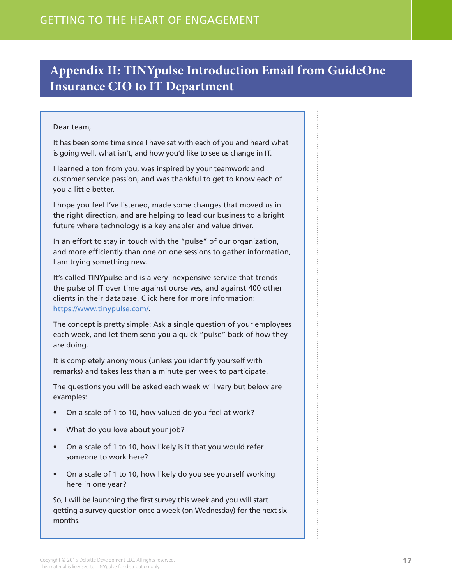## <span id="page-16-0"></span>**Appendix II: TINYpulse Introduction Email from GuideOne Insurance CIO to IT Department**

#### Dear team,

It has been some time since I have sat with each of you and heard what is going well, what isn't, and how you'd like to see us change in IT.

I learned a ton from you, was inspired by your teamwork and customer service passion, and was thankful to get to know each of you a little better.

I hope you feel I've listened, made some changes that moved us in the right direction, and are helping to lead our business to a bright future where technology is a key enabler and value driver.

In an effort to stay in touch with the "pulse" of our organization, and more efficiently than one on one sessions to gather information, I am trying something new.

It's called TINYpulse and is a very inexpensive service that trends the pulse of IT over time against ourselves, and against 400 other clients in their database. Click here for more information: <https://www.tinypulse.com/>.

The concept is pretty simple: Ask a single question of your employees each week, and let them send you a quick "pulse" back of how they are doing.

It is completely anonymous (unless you identify yourself with remarks) and takes less than a minute per week to participate.

The questions you will be asked each week will vary but below are examples:

- On a scale of 1 to 10, how valued do you feel at work?
- What do you love about your job?
- On a scale of 1 to 10, how likely is it that you would refer someone to work here?
- On a scale of 1 to 10, how likely do you see yourself working here in one year?

So, I will be launching the first survey this week and you will start getting a survey question once a week (on Wednesday) for the next six months.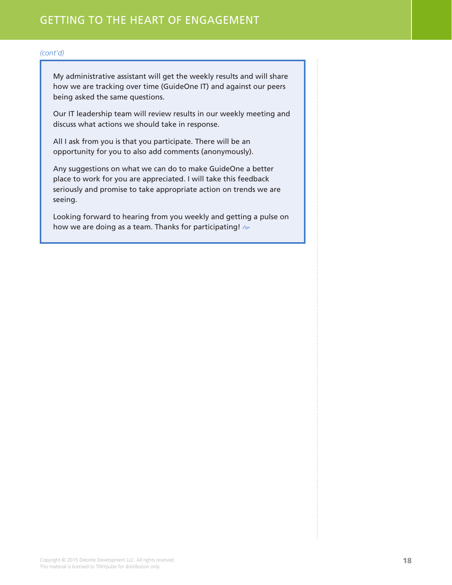### GETTING TO THE HEART OF ENGAGEMENT

#### *(cont'd)*

My administrative assistant will get the weekly results and will share how we are tracking over time (GuideOne IT) and against our peers being asked the same questions.

Our IT leadership team will review results in our weekly meeting and discuss what actions we should take in response.

All I ask from you is that you participate. There will be an opportunity for you to also add comments (anonymously).

Any suggestions on what we can do to make GuideOne a better place to work for you are appreciated. I will take this feedback seriously and promise to take appropriate action on trends we are seeing.

Looking forward to hearing from you weekly and getting a pulse on how we are doing as a team. Thanks for participating!  $\approx$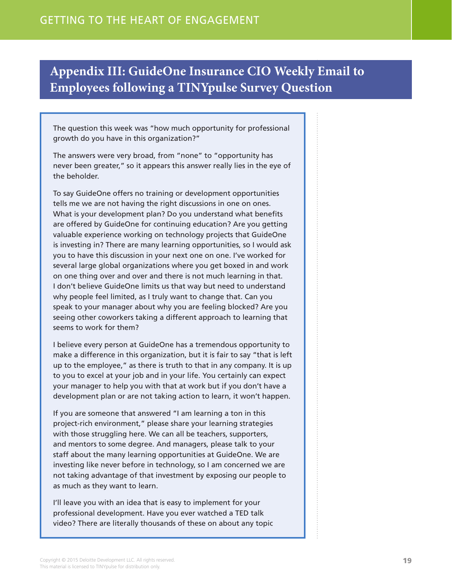## <span id="page-18-0"></span>**Appendix III: GuideOne Insurance CIO Weekly Email to Employees following a TINYpulse Survey Question**

The question this week was "how much opportunity for professional growth do you have in this organization?"

The answers were very broad, from "none" to "opportunity has never been greater," so it appears this answer really lies in the eye of the beholder.

To say GuideOne offers no training or development opportunities tells me we are not having the right discussions in one on ones. What is your development plan? Do you understand what benefits are offered by GuideOne for continuing education? Are you getting valuable experience working on technology projects that GuideOne is investing in? There are many learning opportunities, so I would ask you to have this discussion in your next one on one. I've worked for several large global organizations where you get boxed in and work on one thing over and over and there is not much learning in that. I don't believe GuideOne limits us that way but need to understand why people feel limited, as I truly want to change that. Can you speak to your manager about why you are feeling blocked? Are you seeing other coworkers taking a different approach to learning that seems to work for them?

I believe every person at GuideOne has a tremendous opportunity to make a difference in this organization, but it is fair to say "that is left up to the employee," as there is truth to that in any company. It is up to you to excel at your job and in your life. You certainly can expect your manager to help you with that at work but if you don't have a development plan or are not taking action to learn, it won't happen.

If you are someone that answered "I am learning a ton in this project-rich environment," please share your learning strategies with those struggling here. We can all be teachers, supporters, and mentors to some degree. And managers, please talk to your staff about the many learning opportunities at GuideOne. We are investing like never before in technology, so I am concerned we are not taking advantage of that investment by exposing our people to as much as they want to learn.

I'll leave you with an idea that is easy to implement for your professional development. Have you ever watched a TED talk video? There are literally thousands of these on about any topic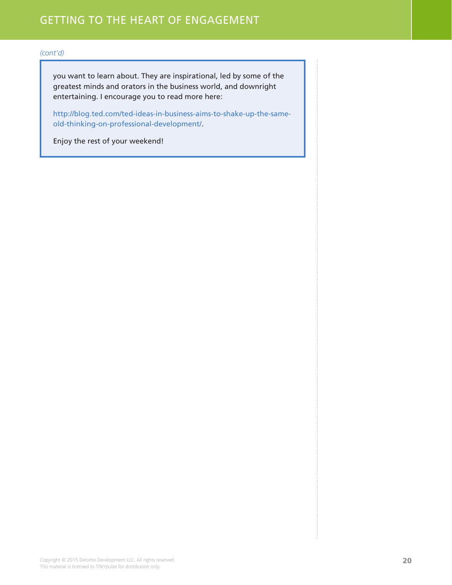### GETTING TO THE HEART OF ENGAGEMENT

#### *(cont'd)*

you want to learn about. They are inspirational, led by some of the greatest minds and orators in the business world, and downright entertaining. I encourage you to read more here:

[http://blog.ted.com/ted-ideas-in-business-aims-to-shake-up-the-same](http://blog.ted.com/ted-ideas-in-business-aims-to-shake-up-the-same-old-thinking-on-professional-development/)[old-thinking-on-professional-development/](http://blog.ted.com/ted-ideas-in-business-aims-to-shake-up-the-same-old-thinking-on-professional-development/).

Enjoy the rest of your weekend!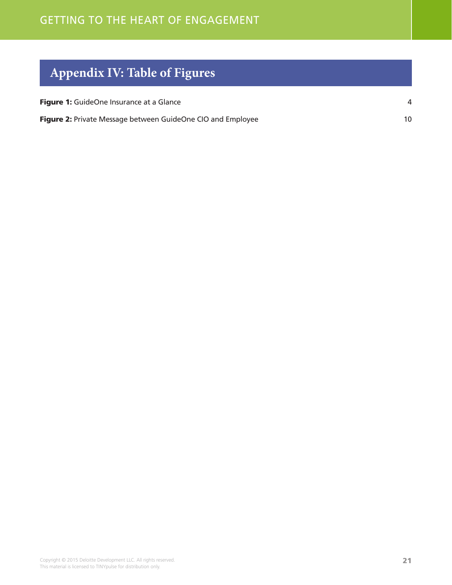## <span id="page-20-0"></span>**Appendix IV: Table of Figures**

| <b>Figure 1:</b> GuideOne Insurance at a Glance                    |    |
|--------------------------------------------------------------------|----|
| <b>Figure 2:</b> Private Message between GuideOne CIO and Employee | 10 |